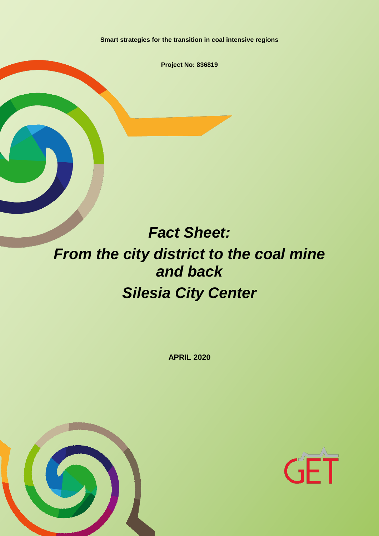**Smart strategies for the transition in coal intensive regions**

**Project No: 836819**

# *Fact Sheet: From the city district to the coal mine and back Silesia City Center*

**APRIL 2020**



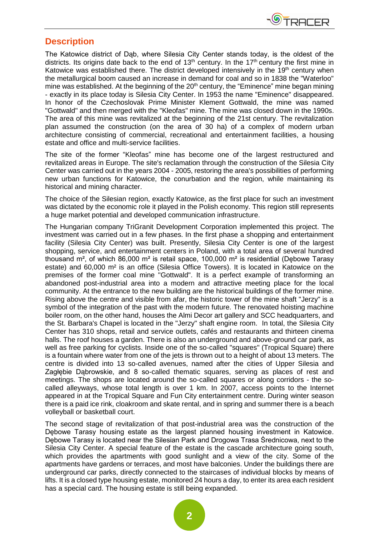

#### **Description**

The Katowice district of Dąb, where Silesia City Center stands today, is the oldest of the districts. Its origins date back to the end of 13<sup>th</sup> century. In the 17<sup>th</sup> century the first mine in Katowice was established there. The district developed intensively in the  $19<sup>th</sup>$  century when the metallurgical boom caused an increase in demand for coal and so in 1838 the "Waterloo" mine was established. At the beginning of the 20<sup>th</sup> century, the "Eminence" mine began mining - exactly in its place today is Silesia City Center. In 1953 the name "Eminence" disappeared. In honor of the Czechoslovak Prime Minister Klement Gottwald, the mine was named "Gottwald" and then merged with the "Kleofas" mine. The mine was closed down in the 1990s. The area of this mine was revitalized at the beginning of the 21st century. The revitalization plan assumed the construction (on the area of 30 ha) of a complex of modern urban architecture consisting of commercial, recreational and entertainment facilities, a housing estate and office and multi-service facilities.

The site of the former "Kleofas" mine has become one of the largest restructured and revitalized areas in Europe. The site's reclamation through the construction of the Silesia City Center was carried out in the years 2004 - 2005, restoring the area's possibilities of performing new urban functions for Katowice, the conurbation and the region, while maintaining its historical and mining character.

The choice of the Silesian region, exactly Katowice, as the first place for such an investment was dictated by the economic role it played in the Polish economy. This region still represents a huge market potential and developed communication infrastructure.

The Hungarian company TriGranit Development Corporation implemented this project. The investment was carried out in a few phases. In the first phase a shopping and entertainment facility (Silesia City Center) was built. Presently, Silesia City Center is one of the largest shopping, service, and entertainment centers in Poland, with a total area of several hundred thousand m², of which 86,000 m² is retail space, 100,000 m² is residential (Dębowe Tarasy estate) and 60,000 m² is an office (Silesia Office Towers). It is located in Katowice on the premises of the former coal mine "Gottwald". It is a perfect example of transforming an abandoned post-industrial area into a modern and attractive meeting place for the local community. At the entrance to the new building are the historical buildings of the former mine. Rising above the centre and visible from afar, the historic tower of the mine shaft "Jerzy" is a symbol of the integration of the past with the modern future. The renovated hoisting machine boiler room, on the other hand, houses the Almi Decor art gallery and SCC headquarters, and the St. Barbara's Chapel is located in the "Jerzy" shaft engine room. In total, the Silesia City Center has 310 shops, retail and service outlets, cafés and restaurants and thirteen cinema halls. The roof houses a garden. There is also an underground and above-ground car park, as well as free parking for cyclists. Inside one of the so-called "squares" (Tropical Square) there is a fountain where water from one of the jets is thrown out to a height of about 13 meters. The centre is divided into 13 so-called avenues, named after the cities of Upper Silesia and Zagłębie Dąbrowskie, and 8 so-called thematic squares, serving as places of rest and meetings. The shops are located around the so-called squares or along corridors - the socalled alleyways, whose total length is over 1 km. In 2007, access points to the Internet appeared in at the Tropical Square and Fun City entertainment centre. During winter season there is a paid ice rink, cloakroom and skate rental, and in spring and summer there is a beach volleyball or basketball court.

The second stage of revitalization of that post-industrial area was the construction of the Dębowe Tarasy housing estate as the largest planned housing investment in Katowice. Dębowe Tarasy is located near the Silesian Park and Drogowa Trasa Średnicowa, next to the Silesia City Center. A special feature of the estate is the cascade architecture going south, which provides the apartments with good sunlight and a view of the city. Some of the apartments have gardens or terraces, and most have balconies. Under the buildings there are underground car parks, directly connected to the staircases of individual blocks by means of lifts. It is a closed type housing estate, monitored 24 hours a day, to enter its area each resident has a special card. The housing estate is still being expanded.

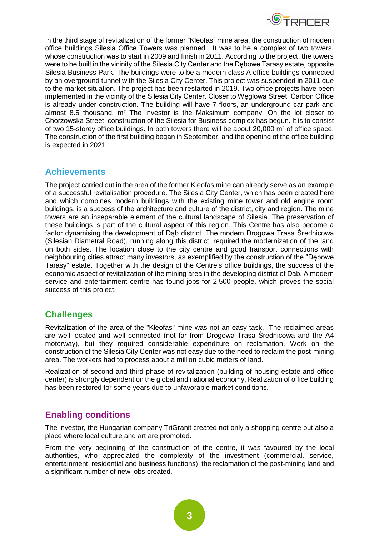

In the third stage of revitalization of the former "Kleofas" mine area, the construction of modern office buildings Silesia Office Towers was planned. It was to be a complex of two towers, whose construction was to start in 2009 and finish in 2011. According to the project, the towers were to be built in the vicinity of the Silesia City Center and the Debowe Tarasy estate, opposite Silesia Business Park. The buildings were to be a modern class A office buildings connected by an overground tunnel with the Silesia City Center. This project was suspended in 2011 due to the market situation. The project has been restarted in 2019. Two office projects have been implemented in the vicinity of the Silesia City Center. Closer to Węglowa Street, Carbon Office is already under construction. The building will have 7 floors, an underground car park and almost 8.5 thousand. m² The investor is the Maksimum company. On the lot closer to Chorzowska Street, construction of the Silesia for Business complex has begun. It is to consist of two 15-storey office buildings. In both towers there will be about 20,000 m² of office space. The construction of the first building began in September, and the opening of the office building is expected in 2021.

#### **Achievements**

The project carried out in the area of the former Kleofas mine can already serve as an example of a successful revitalisation procedure. The Silesia City Center, which has been created here and which combines modern buildings with the existing mine tower and old engine room buildings, is a success of the architecture and culture of the district, city and region. The mine towers are an inseparable element of the cultural landscape of Silesia. The preservation of these buildings is part of the cultural aspect of this region. This Centre has also become a factor dynamising the development of Dąb district. The modern Drogowa Trasa Średnicowa (Silesian Diametral Road), running along this district, required the modernization of the land on both sides. The location close to the city centre and good transport connections with neighbouring cities attract many investors, as exemplified by the construction of the "Dębowe Tarasy" estate. Together with the design of the Centre's office buildings, the success of the economic aspect of revitalization of the mining area in the developing district of Dab. A modern service and entertainment centre has found jobs for 2,500 people, which proves the social success of this project.

## **Challenges**

Revitalization of the area of the "Kleofas" mine was not an easy task. The reclaimed areas are well located and well connected (not far from Drogowa Trasa Średnicowa and the A4 motorway), but they required considerable expenditure on reclamation. Work on the construction of the Silesia City Center was not easy due to the need to reclaim the post-mining area. The workers had to process about a million cubic meters of land.

Realization of second and third phase of revitalization (building of housing estate and office center) is strongly dependent on the global and national economy. Realization of office building has been restored for some years due to unfavorable market conditions.

## **Enabling conditions**

The investor, the Hungarian company TriGranit created not only a shopping centre but also a place where local culture and art are promoted.

From the very beginning of the construction of the centre, it was favoured by the local authorities, who appreciated the complexity of the investment (commercial, service, entertainment, residential and business functions), the reclamation of the post-mining land and a significant number of new jobs created.

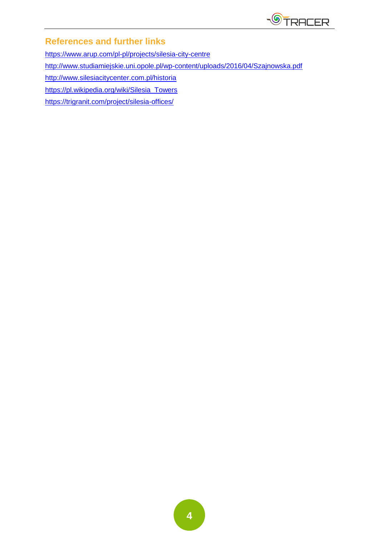

# **References and further links**

<https://www.arup.com/pl-pl/projects/silesia-city-centre>

<http://www.studiamiejskie.uni.opole.pl/wp-content/uploads/2016/04/Szajnowska.pdf>

<http://www.silesiacitycenter.com.pl/historia>

[https://pl.wikipedia.org/wiki/Silesia\\_Towers](https://pl.wikipedia.org/wiki/Silesia_Towers)

<https://trigranit.com/project/silesia-offices/>